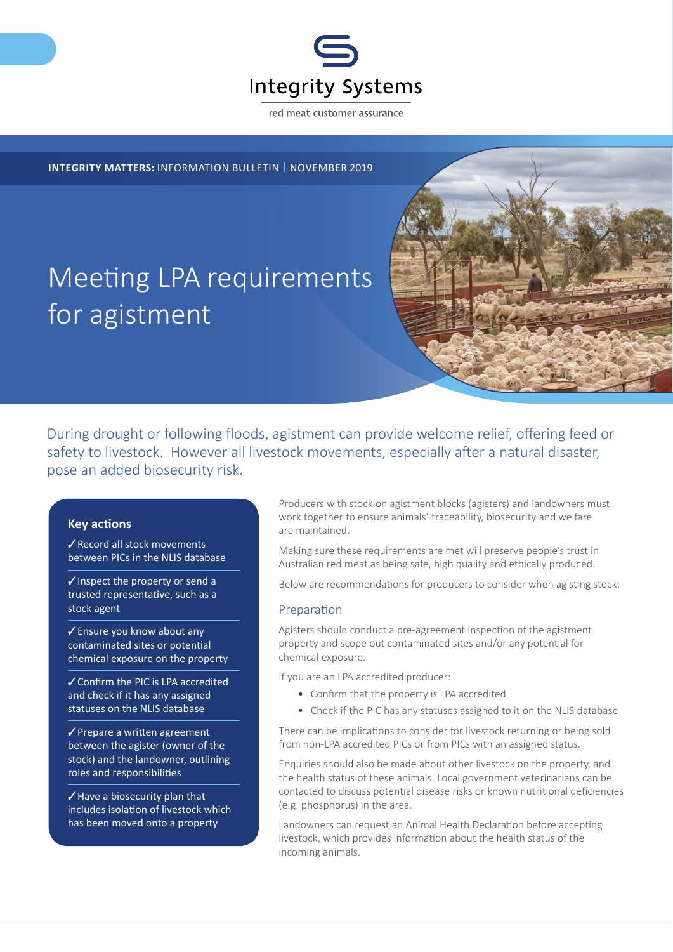

red meat customer assurance

## **INTEGRITY MATTERS:** INFORMATION BULLETIN | NOVEMBER 2019

# Meeting LPA requirements for agistment

During drought or following floods, agistment can provide welcome relief, offering feed or safety to livestock. However all livestock movements, especially after a natural disaster, pose an added biosecurity risk.

#### **Key actions**

✓Record all stock movements between PICs in the NLIS database

✓Inspect the property or send a trusted representative, such as a stock agent

✓Ensure you know about any contaminated sites or potential chemical exposure on the property

✓Confirm the PIC is LPA accredited and check if it has any assigned statuses on the NLIS database

✓Prepare a written agreement between the agister (owner of the stock) and the landowner, outlining roles and responsibilities

✓Have a biosecurity plan that includes isolation of livestock which has been moved onto a property

Producers with stock on agistment blocks (agisters) and landowners must work together to ensure animals' traceability, biosecurity and welfare are maintained.

Making sure these requirements are met will preserve people's trust in Australian red meat as being safe, high quality and ethically produced.

Below are recommendations for producers to consider when agisting stock:

#### Preparation

Agisters should conduct a pre-agreement inspection of the agistment property and scope out contaminated sites and/or any potential for chemical exposure.

If you are an LPA accredited producer:

- Confirm that the property is LPA accredited
- Check if the PIC has any statuses assigned to it on the NLIS database

There can be implications to consider for livestock returning or being sold from non-LPA accredited PICs or from PICs with an assigned status.

Enquiries should also be made about other livestock on the property, and the health status of these animals. Local government veterinarians can be contacted to discuss potential disease risks or known nutritional deficiencies (e.g. phosphorus) in the area.

Landowners can request an Animal Health Declaration before accepting livestock, which provides information about the health status of the incoming animals.